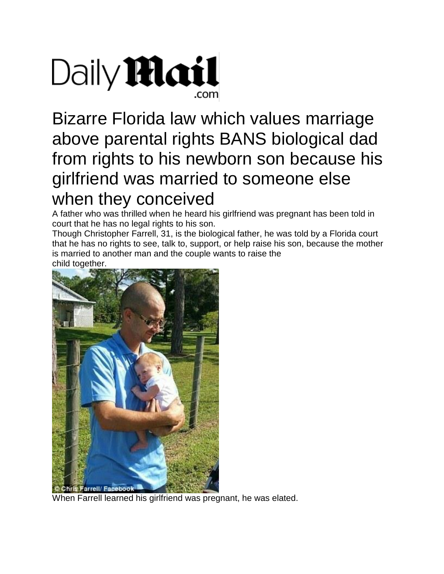

Bizarre Florida law which values marriage above parental rights BANS biological dad from rights to his newborn son because his girlfriend was married to someone else when they conceived

A father who was thrilled when he heard his girlfriend was pregnant has been told in court that he has no legal rights to his son.

Though Christopher Farrell, 31, is the biological father, he was told by a Florida court that he has no rights to see, talk to, support, or help raise his son, because the mother is married to another man and the couple wants to raise the child together.



When Farrell learned his girlfriend was pregnant, he was elated.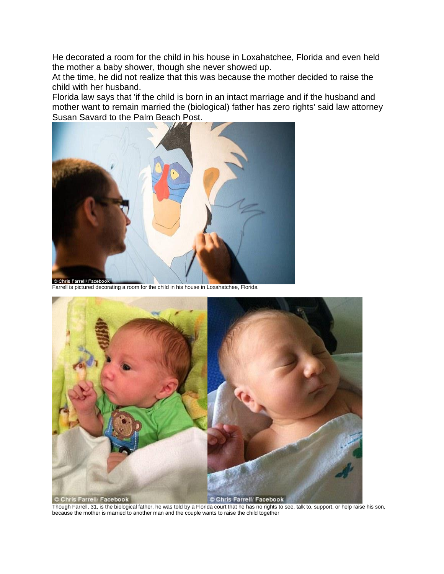He decorated a room for the child in his house in Loxahatchee, Florida and even held the mother a baby shower, though she never showed up.

At the time, he did not realize that this was because the mother decided to raise the child with her husband.

Florida law says that 'if the child is born in an intact marriage and if the husband and mother want to remain married the (biological) father has zero rights' said law attorney Susan Savard to the Palm Beach Post.



Farrell is pictured decorating a room for the child in his house in Loxahatchee, Florida



Though Farrell, 31, is the biological father, he was told by a Florida court that he has no rights to see, talk to, support, or help raise his son, because the mother is married to another man and the couple wants to raise the child together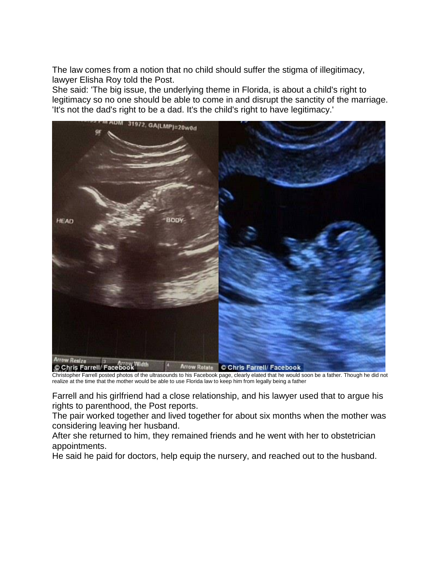The law comes from a notion that no child should suffer the stigma of illegitimacy, lawyer Elisha Roy told the Post.

She said: 'The big issue, the underlying theme in Florida, is about a child's right to legitimacy so no one should be able to come in and disrupt the sanctity of the marriage. 'It's not the dad's right to be a dad. It's the child's right to have legitimacy.'



Christopher Farrell posted photos of the ultrasounds to his Facebook page, clearly elated that he would soon be a father. Though he did not realize at the time that the mother would be able to use Florida law to keep him from legally being a father

Farrell and his girlfriend had a close relationship, and his lawyer used that to argue his rights to parenthood, the Post reports.

The pair worked together and lived together for about six months when the mother was considering leaving her husband.

After she returned to him, they remained friends and he went with her to obstetrician appointments.

He said he paid for doctors, help equip the nursery, and reached out to the husband.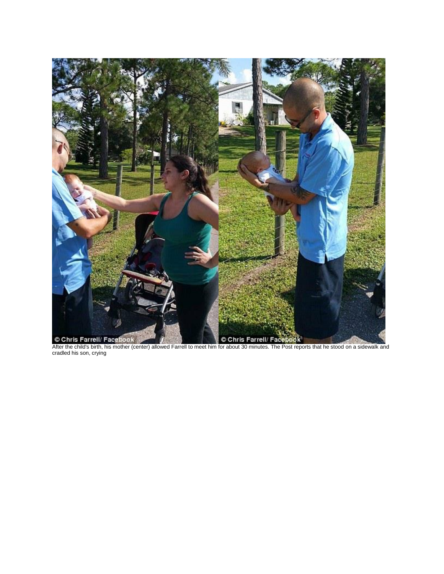

After the child's birth, his mother (center) allowed Farrell to meet him for about 30 minutes. The Post reports that he stood on a sidewalk and cradled his son, crying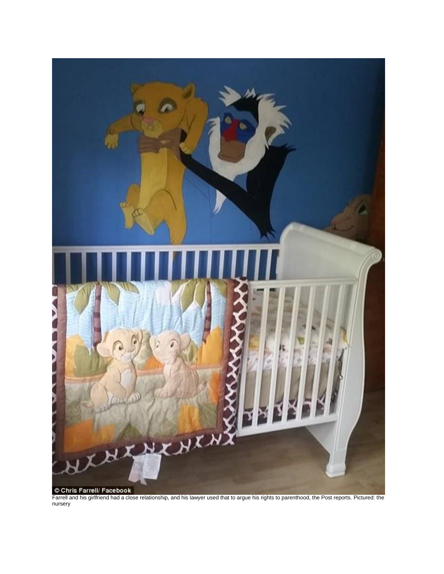

Farrell and his girlfriend had a close relationship, and his lawyer used that to argue his rights to parenthood, the Post reports. Pictured: the nursery